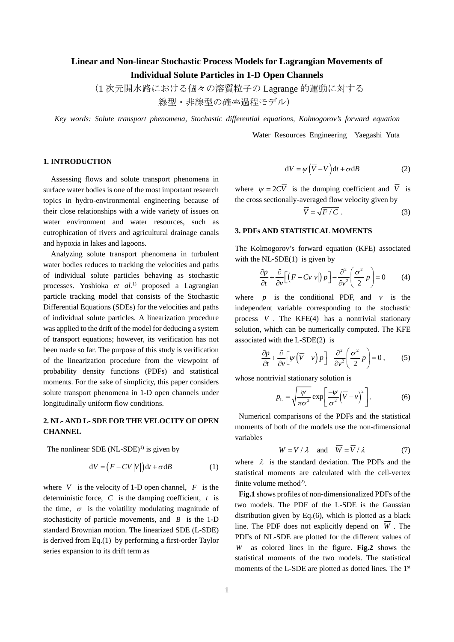# **Linear and Non-linear Stochastic Process Models for Lagrangian Movements of Individual Solute Particles in 1-D Open Channels**

(1 次元開水路における個々の溶質粒子の Lagrange 的運動に対する

線型・非線型の確率過程モデル)

*Key words: Solute transport phenomena, Stochastic differential equations, Kolmogorov's forward equation* 

Water Resources Engineering Yaegashi Yuta

#### **1. INTRODUCTION**

Assessing flows and solute transport phenomena in surface water bodies is one of the most important research topics in hydro-environmental engineering because of their close relationships with a wide variety of issues on water environment and water resources, such as eutrophication of rivers and agricultural drainage canals and hypoxia in lakes and lagoons.

Analyzing solute transport phenomena in turbulent water bodies reduces to tracking the velocities and paths of individual solute particles behaving as stochastic processes. Yoshioka *et al*. 1) proposed a Lagrangian particle tracking model that consists of the Stochastic Differential Equations (SDEs) for the velocities and paths of individual solute particles. A linearization procedure was applied to the drift of the model for deducing a system of transport equations; however, its verification has not been made so far. The purpose of this study is verification of the linearization procedure from the viewpoint of probability density functions (PDFs) and statistical moments. For the sake of simplicity, this paper considers solute transport phenomena in 1-D open channels under longitudinally uniform flow conditions.

## **2. NL- AND L- SDE FOR THE VELOCITY OF OPEN CHANNEL**

The nonlinear SDE  $(NL\text{-}SDE)^{1}$  is given by

$$
dV = (F - CV|V|)dt + \sigma dB
$$
 (1)

where  $V$  is the velocity of 1-D open channel,  $F$  is the deterministic force, *C* is the damping coefficient, *t* is the time,  $\sigma$  is the volatility modulating magnitude of stochasticity of particle movements, and *B* is the 1-D standard Brownian motion. The linearized SDE (L-SDE) is derived from Eq.(1) by performing a first-order Taylor series expansion to its drift term as

$$
dV = \psi \left( \overline{V} - V \right) dt + \sigma dB \qquad (2)
$$

where  $\psi = 2C\overline{V}$  is the dumping coefficient and  $\overline{V}$  is the cross sectionally-averaged flow velocity given by

$$
V = \sqrt{F/C} \tag{3}
$$

#### **3. PDFs AND STATISTICAL MOMENTS**

The Kolmogorov's forward equation (KFE) associated with the  $NL-SDE(1)$  is given by

$$
\frac{\partial p}{\partial t} + \frac{\partial}{\partial v} \Big[ \Big( F - C v |v| \Big) p \Big] - \frac{\partial^2}{\partial v^2} \Big( \frac{\sigma^2}{2} p \Big) = 0 \tag{4}
$$

where  $p$  is the conditional PDF, and  $v$  is the independent variable corresponding to the stochastic process *V* . The KFE(4) has a nontrivial stationary solution, which can be numerically computed. The KFE associated with the L-SDE(2) is

$$
\frac{\partial p}{\partial t} + \frac{\partial}{\partial v} \left[ \psi \left( \overline{V} - v \right) p \right] - \frac{\partial^2}{\partial v^2} \left( \frac{\sigma^2}{2} p \right) = 0 \,, \tag{5}
$$

whose nontrivial stationary solution is

$$
p_{\rm L} = \sqrt{\frac{\psi}{\pi \sigma^2}} \exp\left[\frac{-\psi}{\sigma^2} (\overline{V} - v)^2\right].
$$
 (6)

Numerical comparisons of the PDFs and the statistical moments of both of the models use the non-dimensional variables

$$
W = V / \lambda \quad \text{and} \quad \overline{W} = \overline{V} / \lambda \tag{7}
$$

where  $\lambda$  is the standard deviation. The PDFs and the statistical moments are calculated with the cell-vertex finite volume method<sup>2)</sup>.

**Fig.1** shows profiles of non-dimensionalized PDFs of the two models. The PDF of the L-SDE is the Gaussian distribution given by Eq.(6), which is plotted as a black line. The PDF does not explicitly depend on  $\overline{W}$ . The PDFs of NL-SDE are plotted for the different values of  $\overline{W}$  as colored lines in the figure. **Fig.2** shows the statistical moments of the two models. The statistical moments of the L-SDE are plotted as dotted lines. The 1st